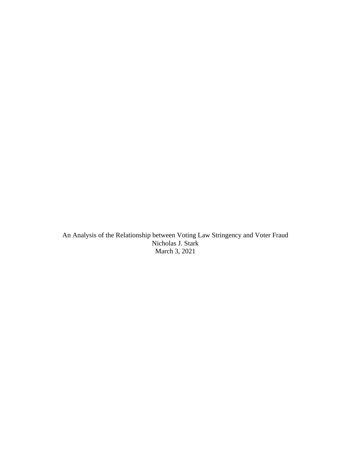An Analysis of the Relationship between Voting Law Stringency and Voter Fraud Nicholas J. Stark March 3, 2021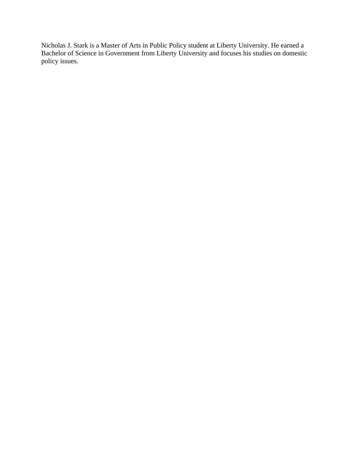Nicholas J. Stark is a Master of Arts in Public Policy student at Liberty University. He earned a Bachelor of Science in Government from Liberty University and focuses his studies on domestic policy issues.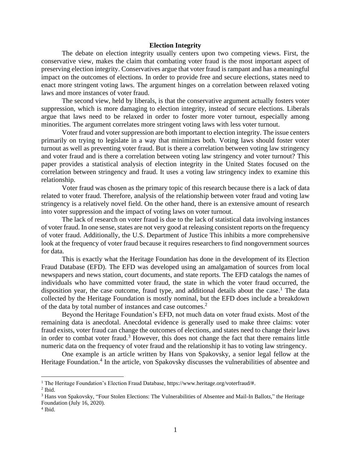### **Election Integrity**

The debate on election integrity usually centers upon two competing views. First, the conservative view, makes the claim that combating voter fraud is the most important aspect of preserving election integrity. Conservatives argue that voter fraud is rampant and has a meaningful impact on the outcomes of elections. In order to provide free and secure elections, states need to enact more stringent voting laws. The argument hinges on a correlation between relaxed voting laws and more instances of voter fraud.

The second view, held by liberals, is that the conservative argument actually fosters voter suppression, which is more damaging to election integrity, instead of secure elections. Liberals argue that laws need to be relaxed in order to foster more voter turnout, especially among minorities. The argument correlates more stringent voting laws with less voter turnout.

Voter fraud and voter suppression are both important to election integrity. The issue centers primarily on trying to legislate in a way that minimizes both. Voting laws should foster voter turnout as well as preventing voter fraud. But is there a correlation between voting law stringency and voter fraud and is there a correlation between voting law stringency and voter turnout? This paper provides a statistical analysis of election integrity in the United States focused on the correlation between stringency and fraud. It uses a voting law stringency index to examine this relationship.

Voter fraud was chosen as the primary topic of this research because there is a lack of data related to voter fraud. Therefore, analysis of the relationship between voter fraud and voting law stringency is a relatively novel field. On the other hand, there is an extensive amount of research into voter suppression and the impact of voting laws on voter turnout.

The lack of research on voter fraud is due to the lack of statistical data involving instances of voter fraud. In one sense, states are not very good at releasing consistent reports on the frequency of voter fraud. Additionally, the U.S. Department of Justice This inhibits a more comprehensive look at the frequency of voter fraud because it requires researchers to find nongovernment sources for data.

This is exactly what the Heritage Foundation has done in the development of its Election Fraud Database (EFD). The EFD was developed using an amalgamation of sources from local newspapers and news station, court documents, and state reports. The EFD catalogs the names of individuals who have committed voter fraud, the state in which the voter fraud occurred, the disposition year, the case outcome, fraud type, and additional details about the case.<sup>1</sup> The data collected by the Heritage Foundation is mostly nominal, but the EFD does include a breakdown of the data by total number of instances and case outcomes.<sup>2</sup>

Beyond the Heritage Foundation's EFD, not much data on voter fraud exists. Most of the remaining data is anecdotal. Anecdotal evidence is generally used to make three claims: voter fraud exists, voter fraud can change the outcomes of elections, and states need to change their laws in order to combat voter fraud.<sup>3</sup> However, this does not change the fact that there remains little numeric data on the frequency of voter fraud and the relationship it has to voting law stringency.

One example is an article written by Hans von Spakovsky, a senior legal fellow at the Heritage Foundation.<sup>4</sup> In the article, von Spakovsky discusses the vulnerabilities of absentee and

<sup>1</sup> The Heritage Foundation's Election Fraud Database, https://www.heritage.org/voterfraud/#.

 $<sup>2</sup>$  Ibid.</sup>

<sup>3</sup> Hans von Spakovsky, "Four Stolen Elections: The Vulnerabilities of Absentee and Mail-In Ballot*s*," the Heritage Foundation (July 16, 2020).

<sup>4</sup> Ibid.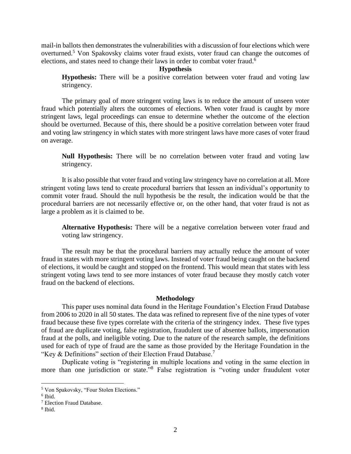mail-in ballots then demonstrates the vulnerabilities with a discussion of four elections which were overturned.<sup>5</sup> Von Spakovsky claims voter fraud exists, voter fraud can change the outcomes of elections, and states need to change their laws in order to combat voter fraud.<sup>6</sup>

### **Hypothesis**

**Hypothesis:** There will be a positive correlation between voter fraud and voting law stringency.

The primary goal of more stringent voting laws is to reduce the amount of unseen voter fraud which potentially alters the outcomes of elections. When voter fraud is caught by more stringent laws, legal proceedings can ensue to determine whether the outcome of the election should be overturned. Because of this, there should be a positive correlation between voter fraud and voting law stringency in which states with more stringent laws have more cases of voter fraud on average.

**Null Hypothesis:** There will be no correlation between voter fraud and voting law stringency.

It is also possible that voter fraud and voting law stringency have no correlation at all. More stringent voting laws tend to create procedural barriers that lessen an individual's opportunity to commit voter fraud. Should the null hypothesis be the result, the indication would be that the procedural barriers are not necessarily effective or, on the other hand, that voter fraud is not as large a problem as it is claimed to be.

**Alternative Hypothesis:** There will be a negative correlation between voter fraud and voting law stringency.

The result may be that the procedural barriers may actually reduce the amount of voter fraud in states with more stringent voting laws. Instead of voter fraud being caught on the backend of elections, it would be caught and stopped on the frontend. This would mean that states with less stringent voting laws tend to see more instances of voter fraud because they mostly catch voter fraud on the backend of elections.

#### **Methodology**

This paper uses nominal data found in the Heritage Foundation's Election Fraud Database from 2006 to 2020 in all 50 states. The data was refined to represent five of the nine types of voter fraud because these five types correlate with the criteria of the stringency index. These five types of fraud are duplicate voting, false registration, fraudulent use of absentee ballots, impersonation fraud at the polls, and ineligible voting. Due to the nature of the research sample, the definitions used for each of type of fraud are the same as those provided by the Heritage Foundation in the "Key & Definitions" section of their Election Fraud Database.<sup>7</sup>

Duplicate voting is "registering in multiple locations and voting in the same election in more than one jurisdiction or state."<sup>8</sup> False registration is "voting under fraudulent voter

<sup>5</sup> Von Spakovsky, "Four Stolen Elections."

<sup>6</sup> Ibid.

<sup>7</sup> Election Fraud Database.

<sup>8</sup> Ibid.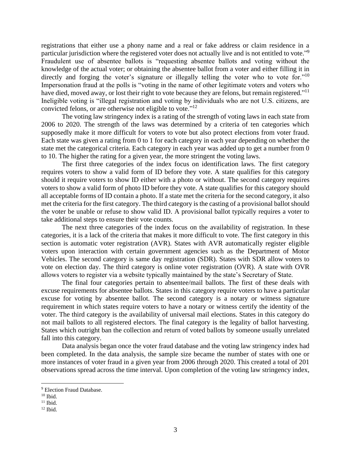registrations that either use a phony name and a real or fake address or claim residence in a particular jurisdiction where the registered voter does not actually live and is not entitled to vote."<sup>9</sup> Fraudulent use of absentee ballots is "requesting absentee ballots and voting without the knowledge of the actual voter; or obtaining the absentee ballot from a voter and either filling it in directly and forging the voter's signature or illegally telling the voter who to vote for."<sup>10</sup> Impersonation fraud at the polls is "voting in the name of other legitimate voters and voters who have died, moved away, or lost their right to vote because they are felons, but remain registered."<sup>11</sup> Ineligible voting is "illegal registration and voting by individuals who are not U.S. citizens, are convicted felons, or are otherwise not eligible to vote."<sup>12</sup>

The voting law stringency index is a rating of the strength of voting laws in each state from 2006 to 2020. The strength of the laws was determined by a criteria of ten categories which supposedly make it more difficult for voters to vote but also protect elections from voter fraud. Each state was given a rating from 0 to 1 for each category in each year depending on whether the state met the categorical criteria. Each category in each year was added up to get a number from 0 to 10. The higher the rating for a given year, the more stringent the voting laws.

The first three categories of the index focus on identification laws. The first category requires voters to show a valid form of ID before they vote. A state qualifies for this category should it require voters to show ID either with a photo or without. The second category requires voters to show a valid form of photo ID before they vote. A state qualifies for this category should all acceptable forms of ID contain a photo. If a state met the criteria for the second category, it also met the criteria for the first category. The third category is the casting of a provisional ballot should the voter be unable or refuse to show valid ID. A provisional ballot typically requires a voter to take additional steps to ensure their vote counts.

The next three categories of the index focus on the availability of registration. In these categories, it is a lack of the criteria that makes it more difficult to vote. The first category in this section is automatic voter registration (AVR). States with AVR automatically register eligible voters upon interaction with certain government agencies such as the Department of Motor Vehicles. The second category is same day registration (SDR). States with SDR allow voters to vote on election day. The third category is online voter registration (OVR). A state with OVR allows voters to register via a website typically maintained by the state's Secretary of State.

The final four categories pertain to absentee/mail ballots. The first of these deals with excuse requirements for absentee ballots. States in this category require voters to have a particular excuse for voting by absentee ballot. The second category is a notary or witness signature requirement in which states require voters to have a notary or witness certify the identity of the voter. The third category is the availability of universal mail elections. States in this category do not mail ballots to all registered electors. The final category is the legality of ballot harvesting. States which outright ban the collection and return of voted ballots by someone usually unrelated fall into this category.

Data analysis began once the voter fraud database and the voting law stringency index had been completed. In the data analysis, the sample size became the number of states with one or more instances of voter fraud in a given year from 2006 through 2020. This created a total of 201 observations spread across the time interval. Upon completion of the voting law stringency index,

<sup>&</sup>lt;sup>9</sup> Election Fraud Database.

 $10$  Ibid.

 $11$  Ibid.

 $12$  Ibid.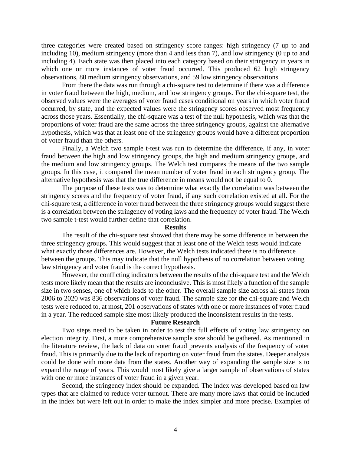three categories were created based on stringency score ranges: high stringency (7 up to and including 10), medium stringency (more than 4 and less than 7), and low stringency (0 up to and including 4). Each state was then placed into each category based on their stringency in years in which one or more instances of voter fraud occurred. This produced 62 high stringency observations, 80 medium stringency observations, and 59 low stringency observations.

From there the data was run through a chi-square test to determine if there was a difference in voter fraud between the high, medium, and low stringency groups. For the chi-square test, the observed values were the averages of voter fraud cases conditional on years in which voter fraud occurred, by state, and the expected values were the stringency scores observed most frequently across those years. Essentially, the chi-square was a test of the null hypothesis, which was that the proportions of voter fraud are the same across the three stringency groups, against the alternative hypothesis, which was that at least one of the stringency groups would have a different proportion of voter fraud than the others.

Finally, a Welch two sample t-test was run to determine the difference, if any, in voter fraud between the high and low stringency groups, the high and medium stringency groups, and the medium and low stringency groups. The Welch test compares the means of the two sample groups. In this case, it compared the mean number of voter fraud in each stringency group. The alternative hypothesis was that the true difference in means would not be equal to 0.

The purpose of these tests was to determine what exactly the correlation was between the stringency scores and the frequency of voter fraud, if any such correlation existed at all. For the chi-square test, a difference in voter fraud between the three stringency groups would suggest there is a correlation between the stringency of voting laws and the frequency of voter fraud. The Welch two sample t-test would further define that correlation.

### **Results**

The result of the chi-square test showed that there may be some difference in between the three stringency groups. This would suggest that at least one of the Welch tests would indicate what exactly those differences are. However, the Welch tests indicated there is no difference between the groups. This may indicate that the null hypothesis of no correlation between voting law stringency and voter fraud is the correct hypothesis.

However, the conflicting indicators between the results of the chi-square test and the Welch tests more likely mean that the results are inconclusive. This is most likely a function of the sample size in two senses, one of which leads to the other. The overall sample size across all states from 2006 to 2020 was 836 observations of voter fraud. The sample size for the chi-square and Welch tests were reduced to, at most, 201 observations of states with one or more instances of voter fraud in a year. The reduced sample size most likely produced the inconsistent results in the tests.

# **Future Research**

Two steps need to be taken in order to test the full effects of voting law stringency on election integrity. First, a more comprehensive sample size should be gathered. As mentioned in the literature review, the lack of data on voter fraud prevents analysis of the frequency of voter fraud. This is primarily due to the lack of reporting on voter fraud from the states. Deeper analysis could be done with more data from the states. Another way of expanding the sample size is to expand the range of years. This would most likely give a larger sample of observations of states with one or more instances of voter fraud in a given year.

Second, the stringency index should be expanded. The index was developed based on law types that are claimed to reduce voter turnout. There are many more laws that could be included in the index but were left out in order to make the index simpler and more precise. Examples of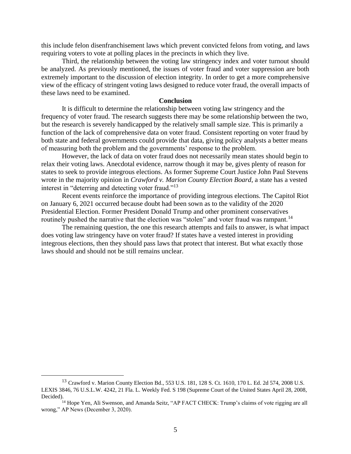this include felon disenfranchisement laws which prevent convicted felons from voting, and laws requiring voters to vote at polling places in the precincts in which they live.

Third, the relationship between the voting law stringency index and voter turnout should be analyzed. As previously mentioned, the issues of voter fraud and voter suppression are both extremely important to the discussion of election integrity. In order to get a more comprehensive view of the efficacy of stringent voting laws designed to reduce voter fraud, the overall impacts of these laws need to be examined.

## **Conclusion**

It is difficult to determine the relationship between voting law stringency and the frequency of voter fraud. The research suggests there may be some relationship between the two, but the research is severely handicapped by the relatively small sample size. This is primarily a function of the lack of comprehensive data on voter fraud. Consistent reporting on voter fraud by both state and federal governments could provide that data, giving policy analysts a better means of measuring both the problem and the governments' response to the problem.

However, the lack of data on voter fraud does not necessarily mean states should begin to relax their voting laws. Anecdotal evidence, narrow though it may be, gives plenty of reason for states to seek to provide integrous elections. As former Supreme Court Justice John Paul Stevens wrote in the majority opinion in *Crawford v. Marion County Election Board*, a state has a vested interest in "deterring and detecting voter fraud."<sup>13</sup>

Recent events reinforce the importance of providing integrous elections. The Capitol Riot on January 6, 2021 occurred because doubt had been sown as to the validity of the 2020 Presidential Election. Former President Donald Trump and other prominent conservatives routinely pushed the narrative that the election was "stolen" and voter fraud was rampant.<sup>14</sup>

The remaining question, the one this research attempts and fails to answer, is what impact does voting law stringency have on voter fraud? If states have a vested interest in providing integrous elections, then they should pass laws that protect that interest. But what exactly those laws should and should not be still remains unclear.

<sup>13</sup> Crawford v. Marion County Election Bd., 553 U.S. 181, 128 S. Ct. 1610, 170 L. Ed. 2d 574, 2008 U.S. LEXIS 3846, 76 U.S.L.W. 4242, 21 Fla. L. Weekly Fed. S 198 (Supreme Court of the United States April 28, 2008, Decided).

<sup>&</sup>lt;sup>14</sup> Hope Yen, Ali Swenson, and Amanda Seitz, "AP FACT CHECK: Trump's claims of vote rigging are all wrong," AP News (December 3, 2020).